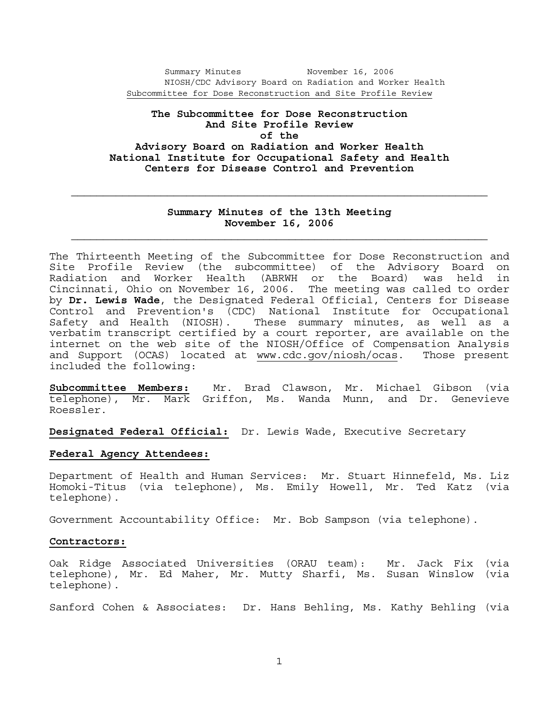Summary Minutes November 16, 2006 NIOSH/CDC Advisory Board on Radiation and Worker Health Subcommittee for Dose Reconstruction and Site Profile Review

## **The Subcommittee for Dose Reconstruction And Site Profile Review of the Advisory Board on Radiation and Worker Health National Institute for Occupational Safety and Health Centers for Disease Control and Prevention**

### **Summary Minutes of the 13th Meeting November 16, 2006**

The Thirteenth Meeting of the Subcommittee for Dose Reconstruction and Site Profile Review (the subcommittee) of the Advisory Board on Radiation and Worker Health (ABRWH or the Board) was held in Cincinnati, Ohio on November 16, 2006. The meeting was called to order by **Dr. Lewis Wade**, the Designated Federal Official, Centers for Disease Control and Prevention's (CDC) National Institute for Occupational<br>Safety and Health (NIOSH). These summary minutes, as well as a These summary minutes, as well as a verbatim transcript certified by a court reporter, are available on the internet on the web site of the NIOSH/Office of Compensation Analysis and Support (OCAS) located at www.cdc.gov/niosh/ocas. Those present included the following:

**Subcommittee Members:** Mr. Brad Clawson, Mr. Michael Gibson (via telephone), Mr. Mark Griffon, Ms. Wanda Munn, and Dr. Genevieve Roessler.

**Designated Federal Official:** Dr. Lewis Wade, Executive Secretary

### **Federal Agency Attendees:**

Department of Health and Human Services: Mr. Stuart Hinnefeld, Ms. Liz Homoki-Titus (via telephone), Ms. Emily Howell, Mr. Ted Katz (via telephone).

Government Accountability Office: Mr. Bob Sampson (via telephone).

### **Contractors:**

Oak Ridge Associated Universities (ORAU team): Mr. Jack Fix (via telephone), Mr. Ed Maher, Mr. Mutty Sharfi, Ms. Susan Winslow (via telephone).

Sanford Cohen & Associates: Dr. Hans Behling, Ms. Kathy Behling (via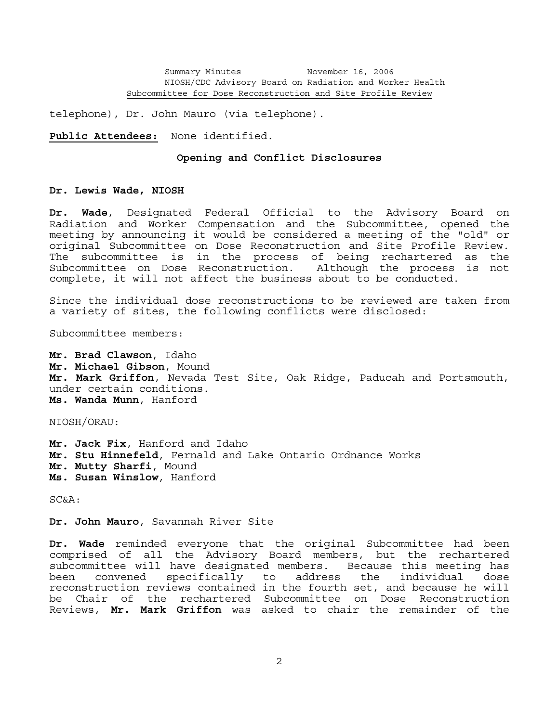telephone), Dr. John Mauro (via telephone).

**Public Attendees:** None identified.

#### **Opening and Conflict Disclosures**

### **Dr. Lewis Wade, NIOSH**

**Dr. Wade**, Designated Federal Official to the Advisory Board on Radiation and Worker Compensation and the Subcommittee, opened the meeting by announcing it would be considered a meeting of the "old" or original Subcommittee on Dose Reconstruction and Site Profile Review. The subcommittee is in the process of being rechartered as the Subcommittee on Dose Reconstruction. Although the process is not complete, it will not affect the business about to be conducted.

Since the individual dose reconstructions to be reviewed are taken from a variety of sites, the following conflicts were disclosed:

Subcommittee members:

**Mr. Brad Clawson**, Idaho **Mr. Michael Gibson**, Mound **Mr. Mark Griffon**, Nevada Test Site, Oak Ridge, Paducah and Portsmouth, under certain conditions. **Ms. Wanda Munn**, Hanford

NIOSH/ORAU:

**Mr. Jack Fix**, Hanford and Idaho **Mr. Stu Hinnefeld**, Fernald and Lake Ontario Ordnance Works **Mr. Mutty Sharfi**, Mound **Ms. Susan Winslow**, Hanford

SC&A:

**Dr. John Mauro**, Savannah River Site

**Dr. Wade** reminded everyone that the original Subcommittee had been comprised of all the Advisory Board members, but the rechartered subcommittee will have designated members. Because this meeting has been convened specifically to address the individual dose reconstruction reviews contained in the fourth set, and because he will be Chair of the rechartered Subcommittee on Dose Reconstruction Reviews, **Mr. Mark Griffon** was asked to chair the remainder of the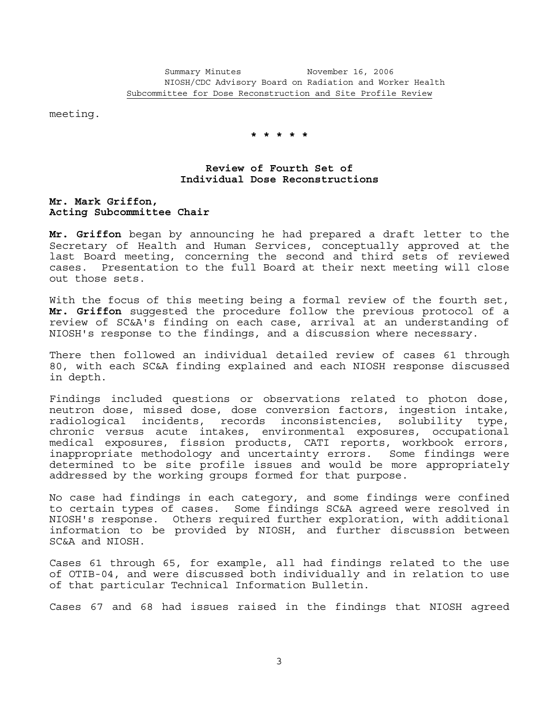meeting.

 **\* \* \* \* \***

## **Review of Fourth Set of Individual Dose Reconstructions**

**Mr. Mark Griffon, Acting Subcommittee Chair**

**Mr. Griffon** began by announcing he had prepared a draft letter to the Secretary of Health and Human Services, conceptually approved at the last Board meeting, concerning the second and third sets of reviewed cases. Presentation to the full Board at their next meeting will close out those sets.

With the focus of this meeting being a formal review of the fourth set, **Mr. Griffon** suggested the procedure follow the previous protocol of a review of SC&A's finding on each case, arrival at an understanding of NIOSH's response to the findings, and a discussion where necessary.

There then followed an individual detailed review of cases 61 through 80, with each SC&A finding explained and each NIOSH response discussed in depth.

Findings included questions or observations related to photon dose, neutron dose, missed dose, dose conversion factors, ingestion intake, radiological incidents, records inconsistencies, solubility type, chronic versus acute intakes, environmental exposures, occupational medical exposures, fission products, CATI reports, workbook errors, inappropriate methodology and uncertainty errors. Some findings were determined to be site profile issues and would be more appropriately addressed by the working groups formed for that purpose.

No case had findings in each category, and some findings were confined to certain types of cases. Some findings SC&A agreed were resolved in NIOSH's response. Others required further exploration, with additional information to be provided by NIOSH, and further discussion between SC&A and NIOSH.

Cases 61 through 65, for example, all had findings related to the use of OTIB-04, and were discussed both individually and in relation to use of that particular Technical Information Bulletin.

Cases 67 and 68 had issues raised in the findings that NIOSH agreed

3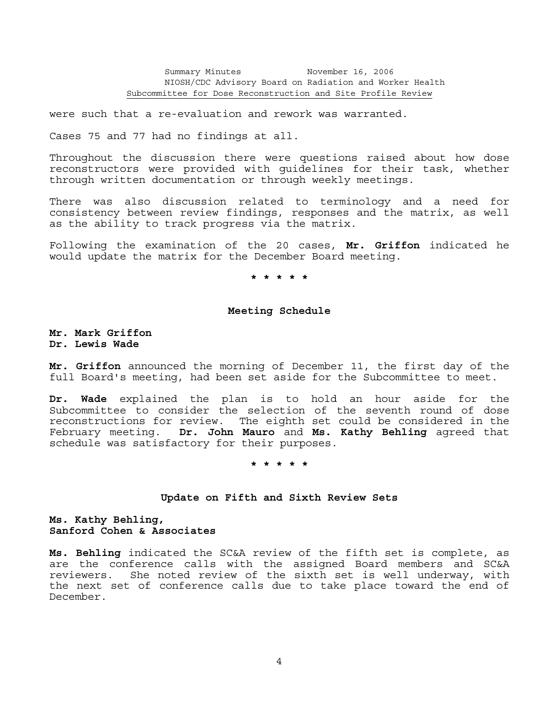were such that a re-evaluation and rework was warranted.

Cases 75 and 77 had no findings at all.

Throughout the discussion there were questions raised about how dose reconstructors were provided with guidelines for their task, whether through written documentation or through weekly meetings.

There was also discussion related to terminology and a need for consistency between review findings, responses and the matrix, as well as the ability to track progress via the matrix.

Following the examination of the 20 cases, **Mr. Griffon** indicated he would update the matrix for the December Board meeting.

 **\* \* \* \* \***

### **Meeting Schedule**

**Mr. Mark Griffon Dr. Lewis Wade**

**Mr. Griffon** announced the morning of December 11, the first day of the full Board's meeting, had been set aside for the Subcommittee to meet.

**Dr. Wade** explained the plan is to hold an hour aside for the Subcommittee to consider the selection of the seventh round of dose reconstructions for review. The eighth set could be considered in the February meeting. **Dr. John Mauro** and **Ms. Kathy Behling** agreed that schedule was satisfactory for their purposes.

 **\* \* \* \* \***

### **Update on Fifth and Sixth Review Sets**

**Ms. Kathy Behling, Sanford Cohen & Associates**

**Ms. Behling** indicated the SC&A review of the fifth set is complete, as are the conference calls with the assigned Board members and SC&A reviewers. She noted review of the sixth set is well underway, with the next set of conference calls due to take place toward the end of December.

4